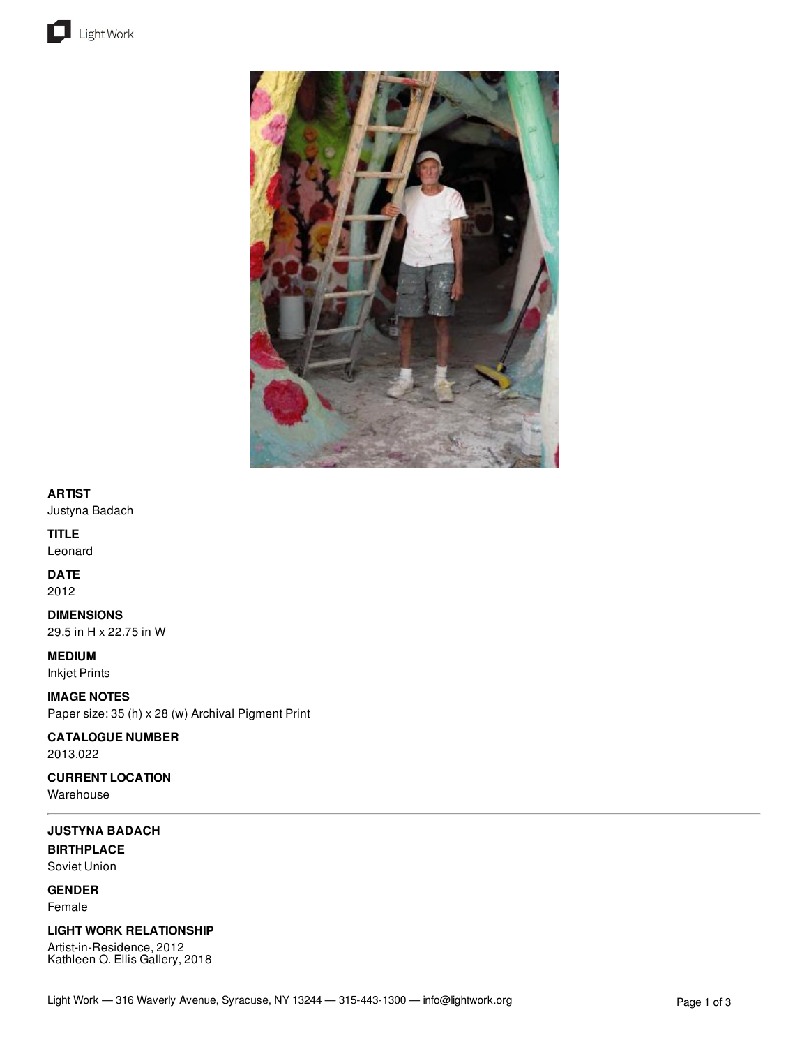



### **ARTIST**

Justyna Badach

## **TITLE**

Leonard

## **DATE**

2012

**DIMENSIONS** 29.5 in H x 22.75 in W

**MEDIUM**

Inkjet Prints

**IMAGE NOTES** Paper size: 35 (h) x 28 (w) Archival Pigment Print

## **CATALOGUE NUMBER**

2013.022

**CURRENT LOCATION** Warehouse

# **JUSTYNA BADACH**

**BIRTHPLACE** Soviet Union

**GENDER** Female

### **LIGHT WORK RELATIONSHIP**

Artist-in-Residence, 2012 Kathleen O. Ellis Gallery, 2018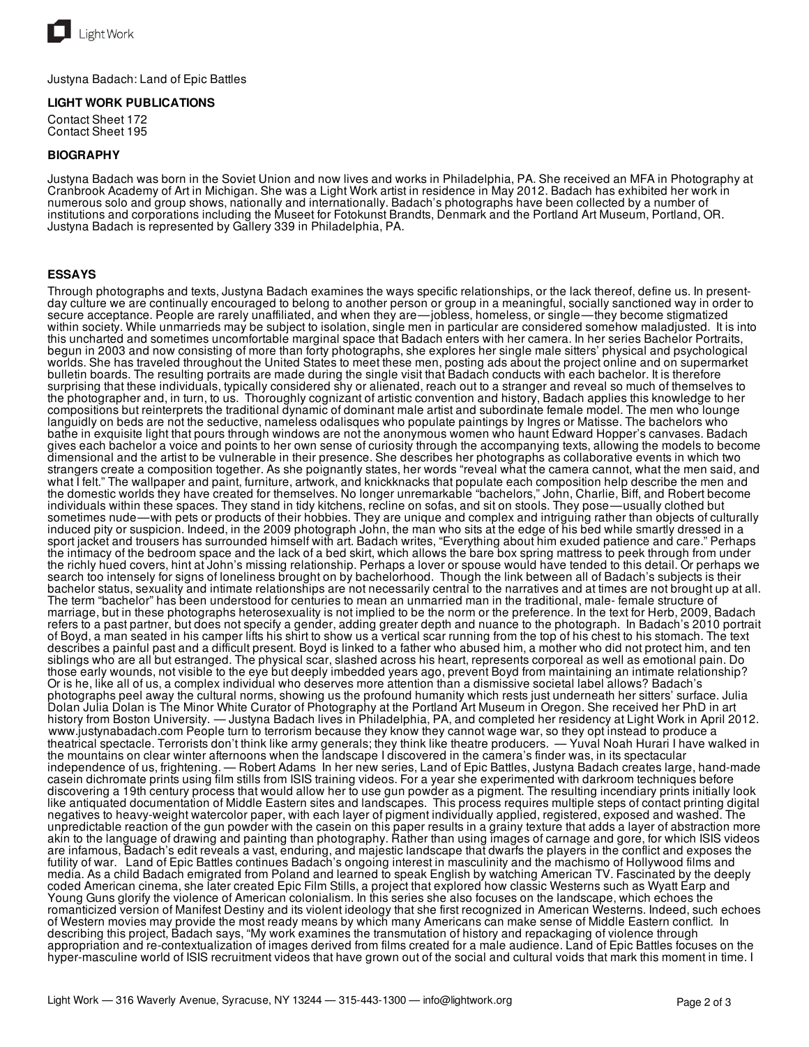

Justyna Badach: Land of Epic Battles

### **LIGHT WORK PUBLICATIONS**

Contact Sheet 172 Contact Sheet 195

### **BIOGRAPHY**

Justyna Badach was born in the Soviet Union and now lives and works in Philadelphia, PA. She received an MFA in Photography at Cranbrook Academy of Art in Michigan. She was a Light Work artist in residence in May 2012. Badach has exhibited her work in numerous solo and group shows, nationally and internationally. Badach's photographs have been collected by a number of institutions and corporations including the Museet for Fotokunst Brandts, Denmark and the Portland Art Museum, Portland, OR. Justyna Badach is represented by Gallery 339 in Philadelphia, PA.

#### **ESSAYS**

Through photographs and texts, Justyna Badach examines the ways specific relationships, or the lack thereof, define us. In presentday culture we are continually encouraged to belong to another person or group in a meaningful, socially sanctioned way in order to secure acceptance. People are rarely unaffiliated, and when they are—jobless, homeless, or single—they become stigmatized within society. While unmarrieds may be subject to isolation, single men in particular are considered somehow maladjusted. It is into this uncharted and sometimes uncomfortable marginal space that Badach enters with her camera. In her series Bachelor Portraits, begun in 2003 and now consisting of more than forty photographs, she explores her single male sitters' physical and psychological worlds. She has traveled throughout the United States to meet these men, posting ads about the project online and on supermarket bulletin boards. The resulting portraits are made during the single visit that Badach conducts with each bachelor. It is therefore surprising that these individuals, typically considered shy or alienated, reach out to a stranger and reveal so much of themselves to the photographer and, in turn, to us. Thoroughly cognizant of artistic convention and history, Badach applies this knowledge to her compositions but reinterprets the traditional dynamic of dominant male artist and subordinate female model. The men who lounge languidly on beds are not the seductive, nameless odalisques who populate paintings by Ingres or Matisse. The bachelors who bathe in exquisite light that pours through windows are not the anonymous women who haunt Edward Hopper's canvases. Badach gives each bachelor a voice and points to her own sense of curiosity through the accompanying texts, allowing the models to become dimensional and the artist to be vulnerable in their presence. She describes her photographs as collaborative events in which two strangers create a composition together. As she poignantly states, her words "reveal what the camera cannot, what the men said, and what I felt." The wallpaper and paint, furniture, artwork, and knickknacks that populate each composition help describe the men and the domestic worlds they have created for themselves. No longer unremarkable "bachelors," John, Charlie, Biff, and Robert become individuals within these spaces. They stand in tidy kitchens, recline on sofas, and sit on stools. They pose—usually clothed but sometimes nude—with pets or products of their hobbies. They are unique and complex and intriguing rather than objects of culturally induced pity or suspicion. Indeed, in the 2009 photograph John, the man who sits at the edge of his bed while smartly dressed in a sport jacket and trousers has surrounded himself with art. Badach writes, "Everything about him exuded patience and care." Perhaps the intimacy of the bedroom space and the lack of a bed skirt, which allows the bare box spring mattress to peek through from under the richly hued covers, hint at John's missing relationship. Perhaps a lover or spouse would have tended to this detail. Or perhaps we search too intensely for signs of loneliness brought on by bachelorhood. Though the link between all of Badach's subjects is their bachelor status, sexuality and intimate relationships are not necessarily central to the narratives and at times are not brought up at all. The term "bachelor" has been understood for centuries to mean an unmarried man in the traditional, male- female structure of marriage, but in these photographs heterosexuality is not implied to be the norm or the preference. In the text for Herb, 2009, Badach refers to a past partner, but does not specify a gender, adding greater depth and nuance to the photograph. In Badach's 2010 portrait of Boyd, a man seated in his camper lifts his shirt to show us a vertical scar running from the top of his chest to his stomach. The text describes a painful past and a difficult present. Boyd is linked to a father who abused him, a mother who did not protect him, and ten siblings who are all but estranged. The physical scar, slashed across his heart, represents corporeal as well as emotional pain. Do those early wounds, not visible to the eye but deeply imbedded years ago, prevent Boyd from maintaining an intimate relationship? Or is he, like all of us, a complex individual who deserves more attention than a dismissive societal label allows? Badach's photographs peel away the cultural norms, showing us the profound humanity which rests just underneath her sitters' surface. Julia Dolan Julia Dolan is The Minor White Curator of Photography at the Portland Art Museum in Oregon. She received her PhD in art history from Boston University. — Justyna Badach lives in Philadelphia, PA, and completed her residency at Light Work in April 2012. www.justynabadach.com People turn to terrorism because they know they cannot wage war, so they opt instead to produce a theatrical spectacle. Terrorists don't think like army generals; they think like theatre producers. — Yuval Noah Hurari I have walked in the mountains on clear winter afternoons when the landscape I discovered in the camera's finder was, in its spectacular independence of us, frightening. — Robert Adams In her new series, Land of Epic Battles, Justyna Badach creates large, hand-made casein dichromate prints using film stills from ISIS training videos. For a year she experimented with darkroom techniques before discovering a 19th century process that would allow her to use gun powder as a pigment. The resulting incendiary prints initially look like antiquated documentation of Middle Eastern sites and landscapes. This process requires multiple steps of contact printing digital negatives to heavy-weight watercolor paper, with each layer of pigment individually applied, registered, exposed and washed. The unpredictable reaction of the gun powder with the casein on this paper results in a grainy texture that adds a layer of abstraction more akin to the language of drawing and painting than photography. Rather than using images of carnage and gore, for which ISIS videos are infamous, Badach's edit reveals a vast, enduring, and majestic landscape that dwarfs the players in the conflict and exposes the futility of war. Land of Epic Battles continues Badach's ongoing interest in masculinity and the machismo of Hollywood films and media. As a child Badach emigrated from Poland and learned to speak English by watching American TV. Fascinated by the deeply coded American cinema, she later created Epic Film Stills, a project that explored how classic Westerns such as Wyatt Earp and Young Guns glorify the violence of American colonialism. In this series she also focuses on the landscape, which echoes the romanticized version of Manifest Destiny and its violent ideology that she first recognized in American Westerns. Indeed, such echoes of Western movies may provide the most ready means by which many Americans can make sense of Middle Eastern conflict. In describing this project, Badach says, "My work examines the transmutation of history and repackaging of violence through appropriation and re-contextualization of images derived from films created for a male audience. Land of Epic Battles focuses on the hyper-masculine world of ISIS recruitment videos that have grown out of the social and cultural voids that mark this moment in time. I